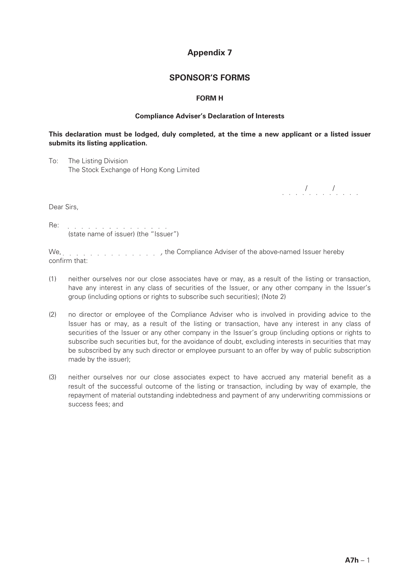# **Appendix 7**

## **SPONSOR'S FORMS**

## **FORM H**

#### **Compliance Adviser's Declaration of Interests**

## **This declaration must be lodged, duly completed, at the time a new applicant or a listed issuer submits its listing application.**

To: The Listing Division The Stock Exchange of Hong Kong Limited

/ /

Dear Sirs,

Re:  $\frac{1}{2}$  ,  $\frac{1}{2}$  ,  $\frac{1}{2}$  ,  $\frac{1}{2}$  ,  $\frac{1}{2}$  ,  $\frac{1}{2}$  ,  $\frac{1}{2}$  ,  $\frac{1}{2}$  ,  $\frac{1}{2}$  ,  $\frac{1}{2}$  ,  $\frac{1}{2}$  ,  $\frac{1}{2}$  ,  $\frac{1}{2}$  ,  $\frac{1}{2}$  ,  $\frac{1}{2}$  ,  $\frac{1}{2}$  ,  $\frac{1}{2}$  ,  $\frac{1}{2}$  , (state name of issuer) (the "Issuer")

We,  $\ldots$ ,  $\ldots$ ,  $\ldots$ ,  $\ldots$ ,  $\ldots$ , the Compliance Adviser of the above-named Issuer hereby confirm that:

- (1) neither ourselves nor our close associates have or may, as a result of the listing or transaction, have any interest in any class of securities of the Issuer, or any other company in the Issuer's group (including options or rights to subscribe such securities); (Note 2)
- (2) no director or employee of the Compliance Adviser who is involved in providing advice to the Issuer has or may, as a result of the listing or transaction, have any interest in any class of securities of the Issuer or any other company in the Issuer's group (including options or rights to subscribe such securities but, for the avoidance of doubt, excluding interests in securities that may be subscribed by any such director or employee pursuant to an offer by way of public subscription made by the issuer);
- (3) neither ourselves nor our close associates expect to have accrued any material benefit as a result of the successful outcome of the listing or transaction, including by way of example, the repayment of material outstanding indebtedness and payment of any underwriting commissions or success fees; and